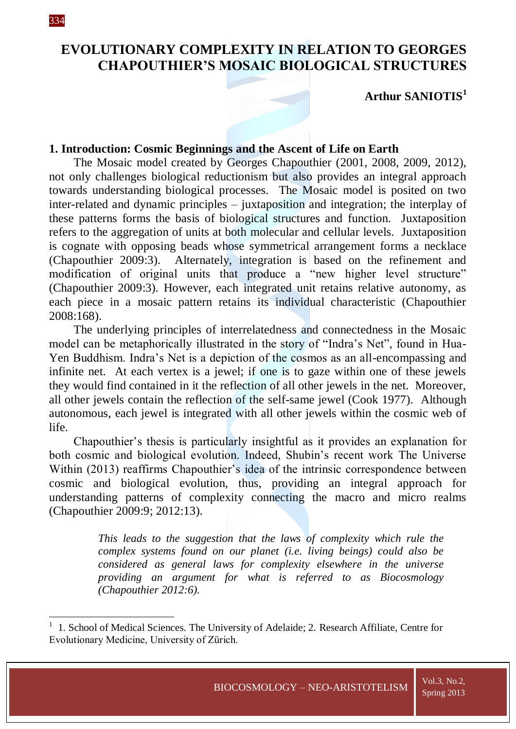1

# **EVOLUTIONARY COMPLEXITY IN RELATION TO GEORGES CHAPOUTHIER'S MOSAIC BIOLOGICAL STRUCTURES**

**Arthur SANIOTIS<sup>1</sup>**

## **1. Introduction: Cosmic Beginnings and the Ascent of Life on Earth**

The Mosaic model created by Georges Chapouthier (2001, 2008, 2009, 2012), not only challenges biological reductionism but also provides an integral approach towards understanding biological processes. The Mosaic model is posited on two inter-related and dynamic principles – juxtaposition and integration; the interplay of these patterns forms the basis of biological structures and function. Juxtaposition refers to the aggregation of units at both molecular and cellular levels. Juxtaposition is cognate with opposing beads whose symmetrical arrangement forms a necklace (Chapouthier 2009:3). Alternately, integration is based on the refinement and modification of original units that produce a "new higher level structure" (Chapouthier 2009:3). However, each integrated unit retains relative autonomy, as each piece in a mosaic pattern retains its individual characteristic (Chapouthier 2008:168).

The underlying principles of interrelatedness and connectedness in the Mosaic model can be metaphorically illustrated in the story of "Indra's Net", found in Hua-Yen Buddhism. Indra's Net is a depiction of the cosmos as an all-encompassing and infinite net. At each vertex is a jewel; if one is to gaze within one of these jewels they would find contained in it the reflection of all other jewels in the net. Moreover, all other jewels contain the reflection of the self-same jewel (Cook 1977). Although autonomous, each jewel is integrated with all other jewels within the cosmic web of life.

Chapouthier's thesis is particularly insightful as it provides an explanation for both cosmic and biological evolution. Indeed, Shubin's recent work The Universe Within (2013) reaffirms Chapouthier's idea of the intrinsic correspondence between cosmic and biological evolution, thus, providing an integral approach for understanding patterns of complexity connecting the macro and micro realms (Chapouthier 2009:9; 2012:13).

> *This leads to the suggestion that the laws of complexity which rule the complex systems found on our planet (i.e. living beings) could also be considered as general laws for complexity elsewhere in the universe providing an argument for what is referred to as Biocosmology (Chapouthier 2012:6).*

<sup>1</sup> 1. School of Medical Sciences. The University of Adelaide; 2. Research Affiliate, Centre for Evolutionary Medicine, University of Zürich.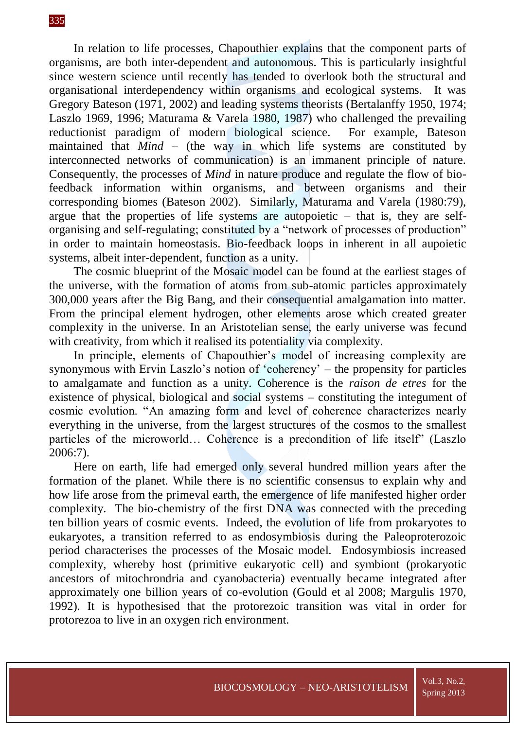In relation to life processes, Chapouthier explains that the component parts of organisms, are both inter-dependent and autonomous. This is particularly insightful since western science until recently has tended to overlook both the structural and organisational interdependency within organisms and ecological systems. It was Gregory Bateson (1971, 2002) and leading systems theorists (Bertalanffy 1950, 1974; Laszlo 1969, 1996; Maturama & Varela 1980, 1987) who challenged the prevailing reductionist paradigm of modern biological science. For example, Bateson maintained that *Mind* – (the way in which life systems are constituted by interconnected networks of communication) is an immanent principle of nature. Consequently, the processes of *Mind* in nature produce and regulate the flow of biofeedback information within organisms, and between organisms and their corresponding biomes (Bateson 2002). Similarly, Maturama and Varela (1980:79), argue that the properties of life systems are autopoietic  $-$  that is, they are selforganising and self-regulating; constituted by a "network of processes of production" in order to maintain homeostasis. Bio-feedback loops in inherent in all aupoietic systems, albeit inter-dependent, function as a unity.

The cosmic blueprint of the Mosaic model can be found at the earliest stages of the universe, with the formation of atoms from sub-atomic particles approximately 300,000 years after the Big Bang, and their consequential amalgamation into matter. From the principal element hydrogen, other elements arose which created greater complexity in the universe. In an Aristotelian sense, the early universe was fecund with creativity, from which it realised its potentiality via complexity.

In principle, elements of Chapouthier's model of increasing complexity are synonymous with Ervin Laszlo's notion of 'coherency' – the propensity for particles to amalgamate and function as a unity. Coherence is the *raison de etres* for the existence of physical, biological and social systems – constituting the integument of cosmic evolution. "An amazing form and level of coherence characterizes nearly everything in the universe, from the largest structures of the cosmos to the smallest particles of the microworld… Coherence is a precondition of life itself" (Laszlo 2006:7).

Here on earth, life had emerged only several hundred million years after the formation of the planet. While there is no scientific consensus to explain why and how life arose from the primeval earth, the emergence of life manifested higher order complexity. The bio-chemistry of the first DNA was connected with the preceding ten billion years of cosmic events. Indeed, the evolution of life from prokaryotes to eukaryotes, a transition referred to as endosymbiosis during the Paleoproterozoic period characterises the processes of the Mosaic model. Endosymbiosis increased complexity, whereby host (primitive eukaryotic cell) and symbiont (prokaryotic ancestors of mitochrondria and cyanobacteria) eventually became integrated after approximately one billion years of co-evolution (Gould et al 2008; Margulis 1970, 1992). It is hypothesised that the protorezoic transition was vital in order for protorezoa to live in an oxygen rich environment.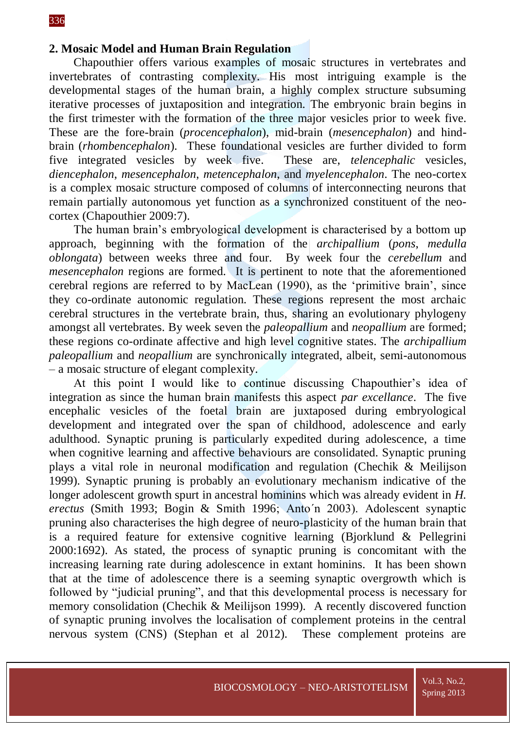#### **2. Mosaic Model and Human Brain Regulation**

Chapouthier offers various examples of mosaic structures in vertebrates and invertebrates of contrasting complexity. His most intriguing example is the developmental stages of the human brain, a highly complex structure subsuming iterative processes of juxtaposition and integration. The embryonic brain begins in the first trimester with the formation of the three major vesicles prior to week five. These are the fore-brain (*procencephalon*), mid-brain (*mesencephalon*) and hindbrain (*rhombencephalon*). These foundational vesicles are further divided to form five integrated vesicles by week five. These are, *[telencephalic](javascript:void(0))* vesicles, *[diencephalon](javascript:void(0))*, *[mesencephalon](javascript:void(0))*, *[metencephalon](javascript:void(0))*, and *[myelencephalon](javascript:void(0))*. The neo-cortex is a complex mosaic structure composed of columns of interconnecting neurons that remain partially autonomous yet function as a synchronized constituent of the neocortex (Chapouthier 2009:7).

The human brain's embryological development is characterised by a bottom up approach, beginning with the formation of the *archipallium* (*pons*, *medulla oblongata*) between weeks three and four. By week four the *cerebellum* and *mesencephalon* regions are formed. It is pertinent to note that the aforementioned cerebral regions are referred to by MacLean (1990), as the 'primitive brain', since they co-ordinate autonomic regulation. These regions represent the most archaic cerebral structures in the vertebrate brain, thus, sharing an evolutionary phylogeny amongst all vertebrates. By week seven the *paleopallium* and *neopallium* are formed; these regions co-ordinate affective and high level cognitive states. The *archipallium paleopallium* and *neopallium* are synchronically integrated, albeit, semi-autonomous – a mosaic structure of elegant complexity.

At this point I would like to continue discussing Chapouthier's idea of integration as since the human brain manifests this aspect *par excellance*. The five encephalic vesicles of the foetal brain are juxtaposed during embryological development and integrated over the span of childhood, adolescence and early adulthood. Synaptic pruning is particularly expedited during adolescence, a time when cognitive learning and affective behaviours are consolidated. Synaptic pruning plays a vital role in neuronal modification and regulation (Chechik & Meilijson 1999). Synaptic pruning is probably an evolutionary mechanism indicative of the longer adolescent growth spurt in ancestral hominins which was already evident in *H. erectus* (Smith 1993; Bogin & Smith 1996; Anto´n 2003). Adolescent synaptic pruning also characterises the high degree of neuro-plasticity of the human brain that is a required feature for extensive cognitive learning (Bjorklund & Pellegrini 2000:1692). As stated, the process of synaptic pruning is concomitant with the increasing learning rate during adolescence in extant hominins. It has been shown that at the time of adolescence there is a seeming synaptic overgrowth which is followed by "judicial pruning", and that this developmental process is necessary for memory consolidation (Chechik & Meilijson 1999). A recently discovered function of synaptic pruning involves the localisation of complement proteins in the central nervous system (CNS) (Stephan et al 2012). These complement proteins are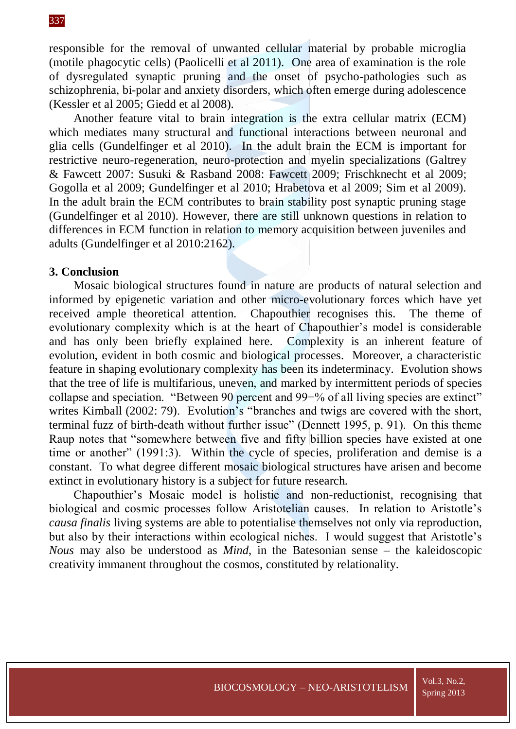responsible for the removal of unwanted cellular material by probable microglia (motile phagocytic cells) (Paolicelli et al 2011). One area of examination is the role of dysregulated synaptic pruning and the onset of psycho-pathologies such as schizophrenia, bi-polar and anxiety disorders, which often emerge during adolescence (Kessler et al 2005; Giedd et al 2008).

Another feature vital to brain integration is the extra cellular matrix (ECM) which mediates many structural and functional interactions between neuronal and glia cells (Gundelfinger et al 2010). In the adult brain the ECM is important for restrictive neuro-regeneration, neuro-protection and myelin specializations (Galtrey & Fawcett 2007: Susuki & Rasband 2008: Fawcett 2009; Frischknecht et al 2009; Gogolla et al 2009; Gundelfinger et al 2010; Hrabetova et al 2009; Sim et al 2009). In the adult brain the ECM contributes to brain stability post synaptic pruning stage (Gundelfinger et al 2010). However, there are still unknown questions in relation to differences in ECM function in relation to memory acquisition between juveniles and adults (Gundelfinger et al 2010:2162).

### **3. Conclusion**

Mosaic biological structures found in nature are products of natural selection and informed by epigenetic variation and other micro-evolutionary forces which have yet received ample theoretical attention. Chapouthier recognises this. The theme of evolutionary complexity which is at the heart of Chapouthier's model is considerable and has only been briefly explained here. Complexity is an inherent feature of evolution, evident in both cosmic and biological processes. Moreover, a characteristic feature in shaping evolutionary complexity has been its indeterminacy. Evolution shows that the tree of life is multifarious, uneven, and marked by intermittent periods of species collapse and speciation. "Between 90 percent and 99+% of all living species are extinct" writes [Kimball](http://muse.jhu.edu.proxy.library.adelaide.edu.au/journals/camera_obscura/v017/17.2kimball.html#authbio#authbio) (2002: 79). Evolution's "branches and twigs are covered with the short, terminal fuzz of birth-death without further issue" (Dennett 1995, p. 91). On this theme Raup notes that "somewhere between five and fifty billion species have existed at one time or another" (1991:3). Within the cycle of species, proliferation and demise is a constant. To what degree different mosaic biological structures have arisen and become extinct in evolutionary history is a subject for future research.

Chapouthier's Mosaic model is holistic and non-reductionist, recognising that biological and cosmic processes follow Aristotelian causes. In relation to Aristotle's *causa finalis* living systems are able to potentialise themselves not only via reproduction, but also by their interactions within ecological niches. I would suggest that Aristotle's *Nous* may also be understood as *Mind*, in the Batesonian sense – the kaleidoscopic creativity immanent throughout the cosmos, constituted by relationality.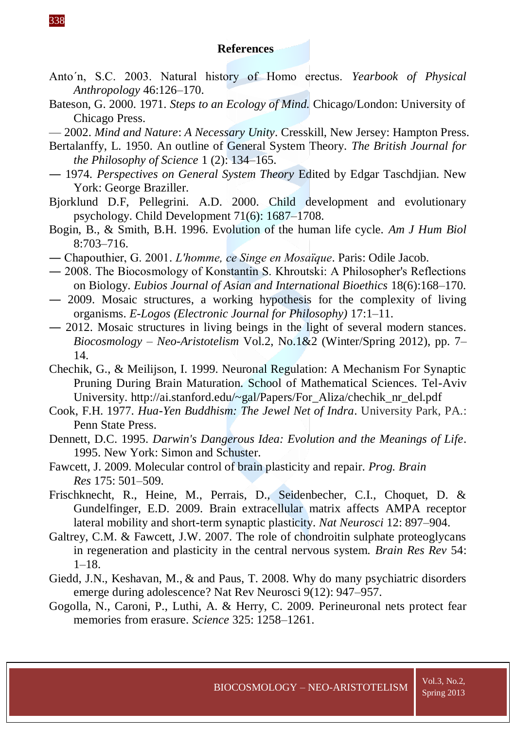#### **References**

- Anto´n, S.C. 2003. Natural history of Homo erectus. *Yearbook of Physical Anthropology* 46:126–170.
- Bateson, G. 2000. 1971. *Steps to an Ecology of Mind.* Chicago/London: University of Chicago Press.
- 2002. *Mind and Nature*: *A Necessary Unity*. Cresskill, New Jersey: Hampton Press.
- Bertalanffy, L. 1950. An outline of General System Theory. *The British Journal for the Philosophy of Science* 1 (2): 134–165.
- ― 1974. *Perspectives on General System Theory* Edited by Edgar Taschdjian. New York: George Braziller.
- Bjorklund D.F, Pellegrini. A.D. 2000. Child development and evolutionary psychology. Child Development 71(6): 1687–1708.
- Bogin, B., & Smith, B.H. 1996. Evolution of the human life cycle. *Am J Hum Biol*  8:703–716.
- ― Chapouthier, G. 2001. *L'homme, ce Singe en Mosaïque*. Paris: Odile Jacob.
- ― 2008. The Biocosmology of Konstantin S. Khroutski: A Philosopher's Reflections on Biology. *Eubios Journal of Asian and International Bioethics* 18(6):168–170.
- ― 2009. Mosaic structures, a working hypothesis for the complexity of living organisms. *E-Logos (Electronic Journal for Philosophy)* 17:1–11.
- ― 2012. Mosaic structures in living beings in the light of several modern stances. *Biocosmology* – *Neo-Aristotelism* Vol.2, No.1&2 (Winter/Spring 2012), pp. 7– 14.
- Chechik, G., & Meilijson, I. 1999. Neuronal Regulation: A Mechanism For Synaptic Pruning During Brain Maturation. School of Mathematical Sciences. Tel-Aviv University. http://ai.stanford.edu/~gal/Papers/For\_Aliza/chechik\_nr\_del.pdf
- Cook, F.H. 1977. *Hua-Yen Buddhism: The Jewel Net of Indra*. University Park, PA.: Penn State Press.
- Dennett, D.C. 1995. *Darwin's Dangerous Idea: Evolution and the Meanings of Life*. 1995. New York: Simon and Schuster.
- Fawcett, J. 2009. Molecular control of brain plasticity and repair. *Prog. Brain Res* 175: 501–509.
- Frischknecht, R., Heine, M., Perrais, D., Seidenbecher, C.I., Choquet, D. & Gundelfinger, E.D. 2009. Brain extracellular matrix affects AMPA receptor lateral mobility and short-term synaptic plasticity. *Nat Neurosci* 12: 897–904.
- Galtrey, C.M. & Fawcett, J.W. 2007. The role of chondroitin sulphate proteoglycans in regeneration and plasticity in the central nervous system. *Brain Res Rev* 54:  $1-18.$
- [Giedd,](http://www.ncbi.nlm.nih.gov/pubmed/?term=Giedd%20JN%5Bauth%5D) J.N., [Keshavan,](http://www.ncbi.nlm.nih.gov/pubmed/?term=Keshavan%20M%5Bauth%5D) M., & and [Paus,](http://www.ncbi.nlm.nih.gov/pubmed/?term=Paus%20T%5Bauth%5D) T. 2008. Why do many psychiatric disorders emerge during adolescence? [Nat Rev Neurosci 9\(12\): 947–957.](http://www.ncbi.nlm.nih.gov/entrez/eutils/elink.fcgi?dbfrom=pubmed&retmode=ref&cmd=prlinks&id=19002191)
- Gogolla, N., Caroni, P., Luthi, A. & Herry, C. 2009. Perineuronal nets protect fear memories from erasure. *Science* 325: 1258–1261.

338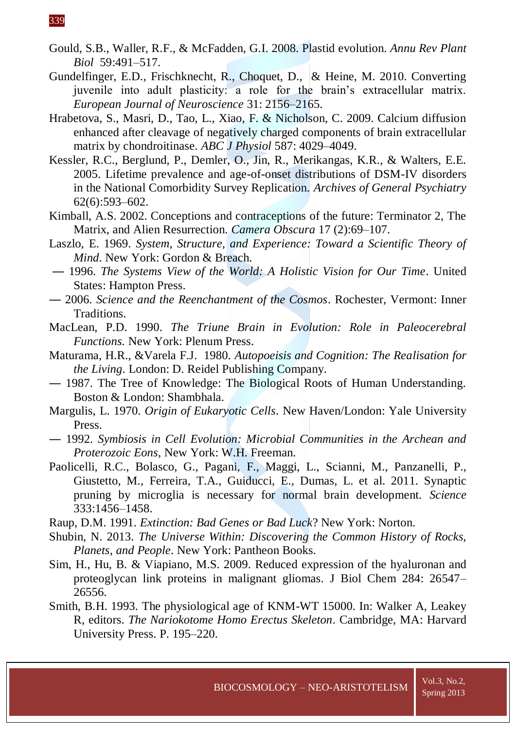- [Gould, S.B.](http://www.ncbi.nlm.nih.gov/pubmed?term=Gould%20SB%5BAuthor%5D&cauthor=true&cauthor_uid=18315522), [Waller, R.F.](http://www.ncbi.nlm.nih.gov/pubmed?term=Waller%20RF%5BAuthor%5D&cauthor=true&cauthor_uid=18315522), & [McFadden, G.I.](http://www.ncbi.nlm.nih.gov/pubmed?term=McFadden%20GI%5BAuthor%5D&cauthor=true&cauthor_uid=18315522) 2008. Plastid evolution. *[Annu Rev Plant](http://www.ncbi.nlm.nih.gov/pubmed/18315522)  [Biol](http://www.ncbi.nlm.nih.gov/pubmed/18315522)* 59:491–517.
- Gundelfinger, E.D., Frischknecht, R., Choquet, D., & Heine, M. 2010. Converting juvenile into adult plasticity: a role for the brain's extracellular matrix. *European Journal of Neuroscience* 31: 2156–2165.
- Hrabetova, S., Masri, D., Tao, L., Xiao, F. & Nicholson, C. 2009. Calcium diffusion enhanced after cleavage of negatively charged components of brain extracellular matrix by chondroitinase. *ABC J Physiol* 587: 4029–4049.
- Kessler, R.C., Berglund, P., Demler, O., Jin, R., Merikangas, K.R., & Walters, E.E. 2005. Lifetime prevalence and age-of-onset distributions of DSM-IV disorders in the National Comorbidity Survey Replication. *Archives of General Psychiatry* 62(6):593–602.
- [Kimball,](http://muse.jhu.edu.proxy.library.adelaide.edu.au/journals/camera_obscura/v017/17.2kimball.html#authbio#authbio) A.S. 2002. Conceptions and contraceptions of the future: Terminator 2, The Matrix, and Alien Resurrection. *Camera Obscura* 17 (2):69–107.
- Laszlo, E. 1969. *System, Structure, and Experience: Toward a Scientific Theory of Mind*. New York: Gordon & Breach.
- ― 1996. *The Systems View of the World: A Holistic Vision for Our Time*. United States: Hampton Press.
- ― 2006. *Science and the Reenchantment of the Cosmos*. Rochester, Vermont: Inner Traditions.
- MacLean, P.D. 1990. *The Triune Brain in Evolution: Role in Paleocerebral Functions.* New York: Plenum Press.
- Maturama, H.R., &Varela F.J. 1980. *Autopoeisis and Cognition: The Realisation for the Living*. London: D. Reidel Publishing Company.
- ― 1987. The Tree of Knowledge: The Biological Roots of Human Understanding. Boston & London: Shambhala.
- Margulis, L. 1970. *Origin of Eukaryotic Cells*. New Haven/London: Yale University Press.
- ― 1992. *Symbiosis in Cell Evolution: Microbial Communities in the Archean and Proterozoic Eons*, New York: W.H. Freeman.
- [Paolicelli,](http://nro.sagepub.com/search?author1=RC+Paolicelli&sortspec=date&submit=Submit) R.C., [Bolasco,](http://nro.sagepub.com/search?author1=G+Bolasco&sortspec=date&submit=Submit) G., [Pagani,](http://nro.sagepub.com/search?author1=F+Pagani&sortspec=date&submit=Submit) F., [Maggi,](http://nro.sagepub.com/search?author1=L+Maggi&sortspec=date&submit=Submit) L., [Scianni,](http://nro.sagepub.com/search?author1=M+Scianni&sortspec=date&submit=Submit) M., [Panzanelli,](http://nro.sagepub.com/search?author1=P+Panzanelli&sortspec=date&submit=Submit) P., [Giustetto,](http://nro.sagepub.com/search?author1=M+Giustetto&sortspec=date&submit=Submit) M., [Ferreira,](http://nro.sagepub.com/search?author1=TA+Ferreira&sortspec=date&submit=Submit) T.A., [Guiducci,](http://nro.sagepub.com/search?author1=E+Guiducci&sortspec=date&submit=Submit) E., [Dumas,](http://nro.sagepub.com/search?author1=L+Dumas&sortspec=date&submit=Submit) L. et al. 2011. Synaptic pruning by microglia is necessary for normal brain development. *Science* 333:1456–1458.
- Raup, D.M. 1991. *Extinction: Bad Genes or Bad Luck*? New York: Norton.
- Shubin, N. 2013. *The Universe Within: Discovering the Common History of Rocks, Planets, and People*. New York: Pantheon Books.
- Sim, H., Hu, B. & Viapiano, M.S. 2009. Reduced expression of the hyaluronan and proteoglycan link proteins in malignant gliomas. J Biol Chem 284: 26547– 26556.
- Smith, B.H. 1993. The physiological age of KNM-WT 15000. In: Walker A, Leakey R, editors. *The Nariokotome Homo Erectus Skeleton*. Cambridge, MA: Harvard University Press. P. 195–220.